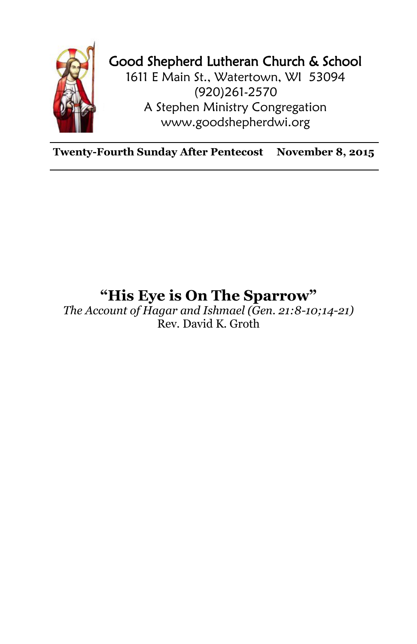

## Good Shepherd Lutheran Church & School

1611 E Main St., Watertown, WI 53094 (920)261-2570 A Stephen Ministry Congregation [www.goodshepherdwi.org](http://www.goodshepherdwi.org/)

**Twenty-Fourth Sunday After Pentecost November 8, 2015**

## **"His Eye is On The Sparrow"**

*The Account of Hagar and Ishmael (Gen. 21:8-10;14-21)* Rev. David K. Groth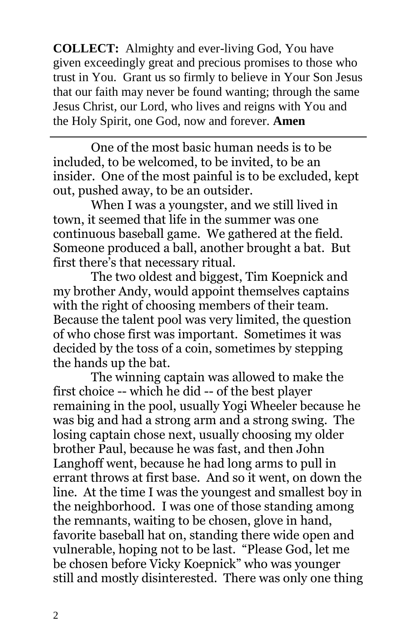**COLLECT:** Almighty and ever-living God, You have given exceedingly great and precious promises to those who trust in You. Grant us so firmly to believe in Your Son Jesus that our faith may never be found wanting; through the same Jesus Christ, our Lord, who lives and reigns with You and the Holy Spirit, one God, now and forever. **Amen**

One of the most basic human needs is to be included, to be welcomed, to be invited, to be an insider. One of the most painful is to be excluded, kept out, pushed away, to be an outsider.

When I was a youngster, and we still lived in town, it seemed that life in the summer was one continuous baseball game. We gathered at the field. Someone produced a ball, another brought a bat. But first there's that necessary ritual.

The two oldest and biggest, Tim Koepnick and my brother Andy, would appoint themselves captains with the right of choosing members of their team. Because the talent pool was very limited, the question of who chose first was important. Sometimes it was decided by the toss of a coin, sometimes by stepping the hands up the bat.

The winning captain was allowed to make the first choice -- which he did -- of the best player remaining in the pool, usually Yogi Wheeler because he was big and had a strong arm and a strong swing. The losing captain chose next, usually choosing my older brother Paul, because he was fast, and then John Langhoff went, because he had long arms to pull in errant throws at first base. And so it went, on down the line. At the time I was the youngest and smallest boy in the neighborhood. I was one of those standing among the remnants, waiting to be chosen, glove in hand, favorite baseball hat on, standing there wide open and vulnerable, hoping not to be last. "Please God, let me be chosen before Vicky Koepnick" who was younger still and mostly disinterested. There was only one thing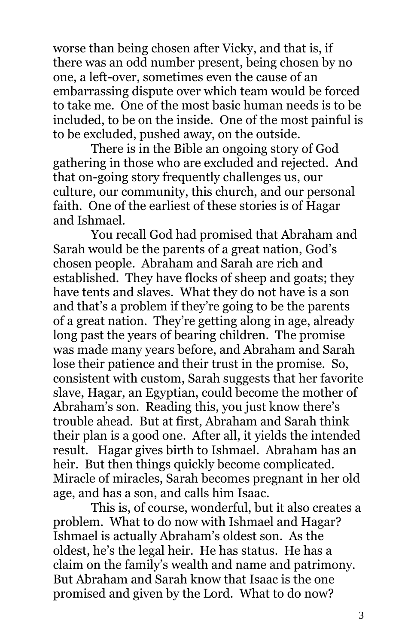worse than being chosen after Vicky, and that is, if there was an odd number present, being chosen by no one, a left-over, sometimes even the cause of an embarrassing dispute over which team would be forced to take me. One of the most basic human needs is to be included, to be on the inside. One of the most painful is to be excluded, pushed away, on the outside.

There is in the Bible an ongoing story of God gathering in those who are excluded and rejected. And that on-going story frequently challenges us, our culture, our community, this church, and our personal faith. One of the earliest of these stories is of Hagar and Ishmael.

You recall God had promised that Abraham and Sarah would be the parents of a great nation, God's chosen people. Abraham and Sarah are rich and established. They have flocks of sheep and goats; they have tents and slaves. What they do not have is a son and that's a problem if they're going to be the parents of a great nation. They're getting along in age, already long past the years of bearing children. The promise was made many years before, and Abraham and Sarah lose their patience and their trust in the promise. So, consistent with custom, Sarah suggests that her favorite slave, Hagar, an Egyptian, could become the mother of Abraham's son. Reading this, you just know there's trouble ahead. But at first, Abraham and Sarah think their plan is a good one. After all, it yields the intended result. Hagar gives birth to Ishmael. Abraham has an heir. But then things quickly become complicated. Miracle of miracles, Sarah becomes pregnant in her old age, and has a son, and calls him Isaac.

This is, of course, wonderful, but it also creates a problem. What to do now with Ishmael and Hagar? Ishmael is actually Abraham's oldest son. As the oldest, he's the legal heir. He has status. He has a claim on the family's wealth and name and patrimony. But Abraham and Sarah know that Isaac is the one promised and given by the Lord. What to do now?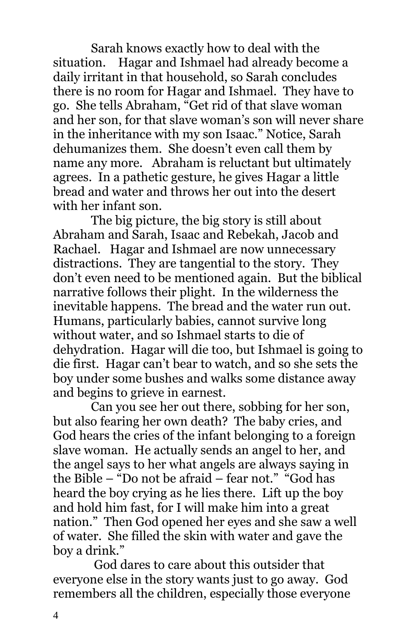Sarah knows exactly how to deal with the situation. Hagar and Ishmael had already become a daily irritant in that household, so Sarah concludes there is no room for Hagar and Ishmael. They have to go. She tells Abraham, "Get rid of that slave woman and her son, for that slave woman's son will never share in the inheritance with my son Isaac." Notice, Sarah dehumanizes them. She doesn't even call them by name any more. Abraham is reluctant but ultimately agrees. In a pathetic gesture, he gives Hagar a little bread and water and throws her out into the desert with her infant son.

The big picture, the big story is still about Abraham and Sarah, Isaac and Rebekah, Jacob and Rachael. Hagar and Ishmael are now unnecessary distractions. They are tangential to the story. They don't even need to be mentioned again. But the biblical narrative follows their plight. In the wilderness the inevitable happens. The bread and the water run out. Humans, particularly babies, cannot survive long without water, and so Ishmael starts to die of dehydration. Hagar will die too, but Ishmael is going to die first. Hagar can't bear to watch, and so she sets the boy under some bushes and walks some distance away and begins to grieve in earnest.

Can you see her out there, sobbing for her son, but also fearing her own death? The baby cries, and God hears the cries of the infant belonging to a foreign slave woman. He actually sends an angel to her, and the angel says to her what angels are always saying in the Bible – "Do not be afraid – fear not." "God has heard the boy crying as he lies there. Lift up the boy and hold him fast, for I will make him into a great nation." Then God opened her eyes and she saw a well of water. She filled the skin with water and gave the boy a drink."

God dares to care about this outsider that everyone else in the story wants just to go away. God remembers all the children, especially those everyone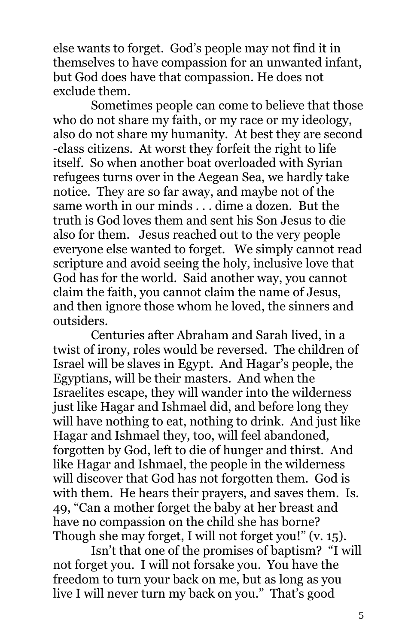else wants to forget. God's people may not find it in themselves to have compassion for an unwanted infant, but God does have that compassion. He does not exclude them.

Sometimes people can come to believe that those who do not share my faith, or my race or my ideology, also do not share my humanity. At best they are second -class citizens. At worst they forfeit the right to life itself. So when another boat overloaded with Syrian refugees turns over in the Aegean Sea, we hardly take notice. They are so far away, and maybe not of the same worth in our minds . . . dime a dozen. But the truth is God loves them and sent his Son Jesus to die also for them. Jesus reached out to the very people everyone else wanted to forget. We simply cannot read scripture and avoid seeing the holy, inclusive love that God has for the world. Said another way, you cannot claim the faith, you cannot claim the name of Jesus, and then ignore those whom he loved, the sinners and outsiders.

Centuries after Abraham and Sarah lived, in a twist of irony, roles would be reversed. The children of Israel will be slaves in Egypt. And Hagar's people, the Egyptians, will be their masters. And when the Israelites escape, they will wander into the wilderness just like Hagar and Ishmael did, and before long they will have nothing to eat, nothing to drink. And just like Hagar and Ishmael they, too, will feel abandoned, forgotten by God, left to die of hunger and thirst. And like Hagar and Ishmael, the people in the wilderness will discover that God has not forgotten them. God is with them. He hears their prayers, and saves them. Is. 49, "Can a mother forget the baby at her breast and have no compassion on the child she has borne? Though she may forget, I will not forget you!" (v. 15).

Isn't that one of the promises of baptism? "I will not forget you. I will not forsake you. You have the freedom to turn your back on me, but as long as you live I will never turn my back on you." That's good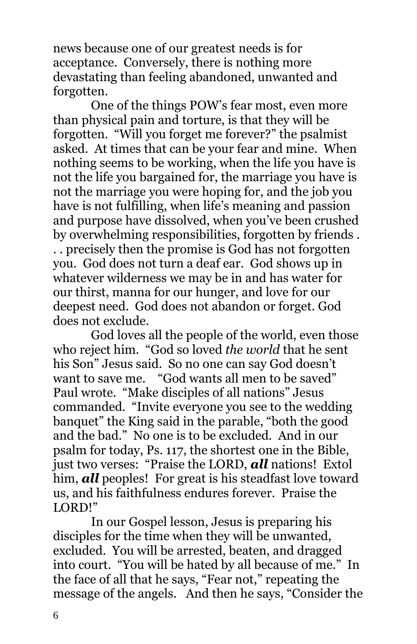news because one of our greatest needs is for acceptance. Conversely, there is nothing more devastating than feeling abandoned, unwanted and forgotten.

One of the things POW's fear most, even more than physical pain and torture, is that they will be forgotten. "Will you forget me forever?" the psalmist asked. At times that can be your fear and mine. When nothing seems to be working, when the life you have is not the life you bargained for, the marriage you have is not the marriage you were hoping for, and the job you have is not fulfilling, when life's meaning and passion and purpose have dissolved, when you've been crushed by overwhelming responsibilities, forgotten by friends . . . precisely then the promise is God has not forgotten you. God does not turn a deaf ear. God shows up in whatever wilderness we may be in and has water for our thirst, manna for our hunger, and love for our deepest need. God does not abandon or forget. God does not exclude.

God loves all the people of the world, even those who reject him. "God so loved *the world* that he sent his Son" Jesus said. So no one can say God doesn't want to save me. "God wants all men to be saved" Paul wrote. "Make disciples of all nations" Jesus commanded. "Invite everyone you see to the wedding banquet" the King said in the parable, "both the good and the bad." No one is to be excluded. And in our psalm for today, Ps. 117, the shortest one in the Bible, just two verses: "Praise the LORD, *all* nations! Extol him, *all* peoples! For great is his steadfast love toward us, and his faithfulness endures forever. Praise the LORD!"

In our Gospel lesson, Jesus is preparing his disciples for the time when they will be unwanted, excluded. You will be arrested, beaten, and dragged into court. "You will be hated by all because of me." In the face of all that he says, "Fear not," repeating the message of the angels. And then he says, "Consider the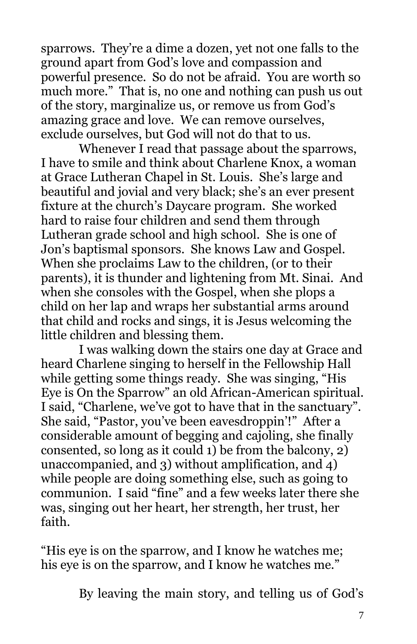sparrows. They're a dime a dozen, yet not one falls to the ground apart from God's love and compassion and powerful presence. So do not be afraid. You are worth so much more." That is, no one and nothing can push us out of the story, marginalize us, or remove us from God's amazing grace and love. We can remove ourselves, exclude ourselves, but God will not do that to us.

Whenever I read that passage about the sparrows, I have to smile and think about Charlene Knox, a woman at Grace Lutheran Chapel in St. Louis. She's large and beautiful and jovial and very black; she's an ever present fixture at the church's Daycare program. She worked hard to raise four children and send them through Lutheran grade school and high school. She is one of Jon's baptismal sponsors. She knows Law and Gospel. When she proclaims Law to the children, (or to their parents), it is thunder and lightening from Mt. Sinai. And when she consoles with the Gospel, when she plops a child on her lap and wraps her substantial arms around that child and rocks and sings, it is Jesus welcoming the little children and blessing them.

I was walking down the stairs one day at Grace and heard Charlene singing to herself in the Fellowship Hall while getting some things ready. She was singing, "His Eye is On the Sparrow" an old African-American spiritual. I said, "Charlene, we've got to have that in the sanctuary". She said, "Pastor, you've been eavesdroppin'!" After a considerable amount of begging and cajoling, she finally consented, so long as it could 1) be from the balcony, 2) unaccompanied, and 3) without amplification, and 4) while people are doing something else, such as going to communion. I said "fine" and a few weeks later there she was, singing out her heart, her strength, her trust, her faith.

"His eye is on the sparrow, and I know he watches me; his eye is on the sparrow, and I know he watches me."

By leaving the main story, and telling us of God's